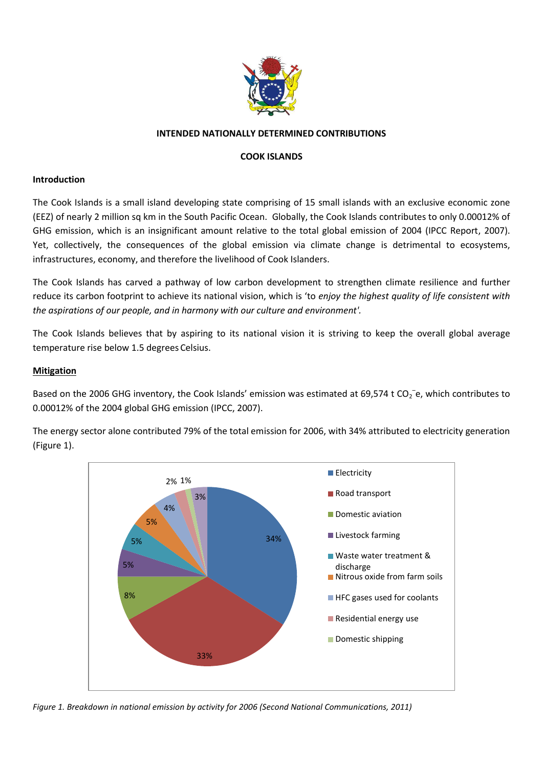

## **INTENDED NATIONALLY DETERMINED CONTRIBUTIONS**

## **COOK ISLANDS**

#### **Introduction**

The Cook Islands is a small island developing state comprising of 15 small islands with an exclusive economic zone (EEZ) of nearly 2 million sq km in the South Pacific Ocean. Globally, the Cook Islands contributes to only 0.00012% of GHG emission, which is an insignificant amount relative to the total global emission of 2004 (IPCC Report, 2007). Yet, collectively, the consequences of the global emission via climate change is detrimental to ecosystems, infrastructures, economy, and therefore the livelihood of Cook Islanders.

The Cook Islands has carved a pathway of low carbon development to strengthen climate resilience and further reduce its carbon footprint to achieve its national vision, which is 'to *enjoy the highest quality of life consistent with the aspirations of our people, and in harmony with our culture and environment'.* 

The Cook Islands believes that by aspiring to its national vision it is striving to keep the overall global average temperature rise below 1.5 degrees Celsius.

### **Mitigation**

Based on the 2006 GHG inventory, the Cook Islands' emission was estimated at 69,574 t CO<sub>2</sub><sup>-</sup>e, which contributes to 0.00012% of the 2004 global GHG emission (IPCC, 2007).

The energy sector alone contributed 79% of the total emission for 2006, with 34% attributed to electricity generation (Figure 1).



*Figure 1. Breakdown in national emission by activity for 2006 (Second National Communications, 2011)*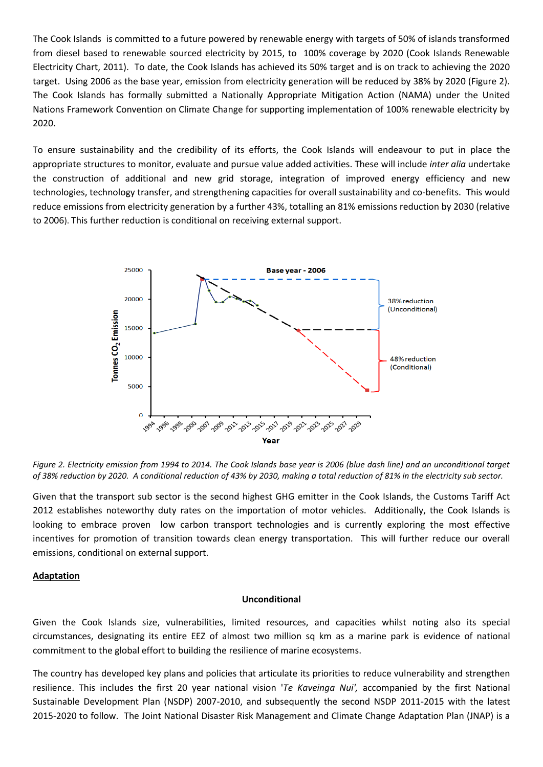The Cook Islands is committed to a future powered by renewable energy with targets of 50% of islands transformed from diesel based to renewable sourced electricity by 2015, to 100% coverage by 2020 (Cook Islands Renewable Electricity Chart, 2011). To date, the Cook Islands has achieved its 50% target and is on track to achieving the 2020 target. Using 2006 as the base year, emission from electricity generation will be reduced by 38% by 2020 (Figure 2). The Cook Islands has formally submitted a Nationally Appropriate Mitigation Action (NAMA) under the United Nations Framework Convention on Climate Change for supporting implementation of 100% renewable electricity by 2020.

To ensure sustainability and the credibility of its efforts, the Cook Islands will endeavour to put in place the appropriate structures to monitor, evaluate and pursue value added activities. These will include *inter alia* undertake the construction of additional and new grid storage, integration of improved energy efficiency and new technologies, technology transfer, and strengthening capacities for overall sustainability and co-benefits. This would reduce emissions from electricity generation by a further 43%, totalling an 81% emissions reduction by 2030 (relative to 2006). This further reduction is conditional on receiving external support.



*Figure 2. Electricity emission from 1994 to 2014. The Cook Islands base year is 2006 (blue dash line) and an unconditional target of 38% reduction by 2020. A conditional reduction of 43% by 2030, making a total reduction of 81% in the electricity sub sector.* 

Given that the transport sub sector is the second highest GHG emitter in the Cook Islands, the Customs Tariff Act 2012 establishes noteworthy duty rates on the importation of motor vehicles.Additionally, the Cook Islands is looking to embrace proven low carbon transport technologies and is currently exploring the most effective incentives for promotion of transition towards clean energy transportation. This will further reduce our overall emissions, conditional on external support.

### **Adaptation**

#### **Unconditional**

Given the Cook Islands size, vulnerabilities, limited resources, and capacities whilst noting also its special circumstances, designating its entire EEZ of almost two million sq km as a marine park is evidence of national commitment to the global effort to building the resilience of marine ecosystems.

The country has developed key plans and policies that articulate its priorities to reduce vulnerability and strengthen resilience. This includes the first 20 year national vision '*Te Kaveinga Nui',* accompanied by the first National Sustainable Development Plan (NSDP) 2007-2010, and subsequently the second NSDP 2011-2015 with the latest 2015-2020 to follow. The Joint National Disaster Risk Management and Climate Change Adaptation Plan (JNAP) is a